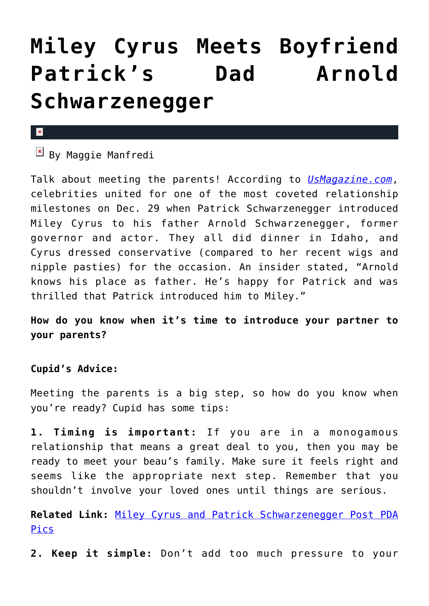## **[Miley Cyrus Meets Boyfriend](https://cupidspulse.com/84621/miley-cyrus-meets-boyfriend-patrick-schwarzenegger-dad-arnold-schwarzenegger/) [Patrick's Dad Arnold](https://cupidspulse.com/84621/miley-cyrus-meets-boyfriend-patrick-schwarzenegger-dad-arnold-schwarzenegger/) [Schwarzenegger](https://cupidspulse.com/84621/miley-cyrus-meets-boyfriend-patrick-schwarzenegger-dad-arnold-schwarzenegger/)**

## $\mathbf{x}$

 $\overline{\mathbb{F}}$  By Maggie Manfredi

Talk about meeting the parents! According to *[UsMagazine.com](http://www.usmagazine.com/celebrity-news/news/miley-cyrus-meets-patricks-dad-arnold-schwarzenegger-photos-20143012)*, celebrities united for one of the most coveted relationship milestones on Dec. 29 when Patrick Schwarzenegger introduced Miley Cyrus to his father Arnold Schwarzenegger, former governor and actor. They all did dinner in Idaho, and Cyrus dressed conservative (compared to her recent wigs and nipple pasties) for the occasion. An insider stated, "Arnold knows his place as father. He's happy for Patrick and was thrilled that Patrick introduced him to Miley."

**How do you know when it's time to introduce your partner to your parents?**

## **Cupid's Advice:**

Meeting the parents is a big step, so how do you know when you're ready? Cupid has some tips:

**1. Timing is important:** If you are in a monogamous relationship that means a great deal to you, then you may be ready to meet your beau's family. Make sure it feels right and seems like the appropriate next step. Remember that you shouldn't involve your loved ones until things are serious.

**Related Link:** [Miley Cyrus and Patrick Schwarzenegger Post PDA](http://cupidspulse.com/83746/miley-cyrus-patrick-schwarzenegger-post-pda-pics/) [Pics](http://cupidspulse.com/83746/miley-cyrus-patrick-schwarzenegger-post-pda-pics/)

**2. Keep it simple:** Don't add too much pressure to your